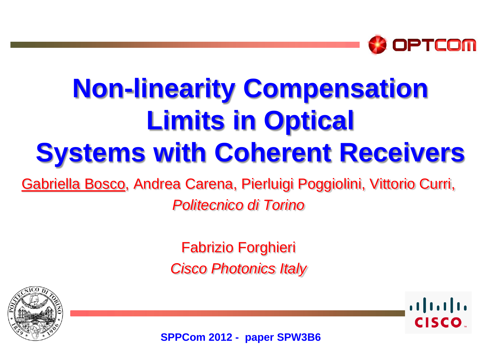

# **Non-linearity Compensation Limits in Optical Systems with Coherent Receivers**

Gabriella Bosco, Andrea Carena, Pierluigi Poggiolini, Vittorio Curri,

*Politecnico di Torino*

Fabrizio Forghieri *Cisco Photonics Italy*





**SPPCom 2012 - paper SPW3B6**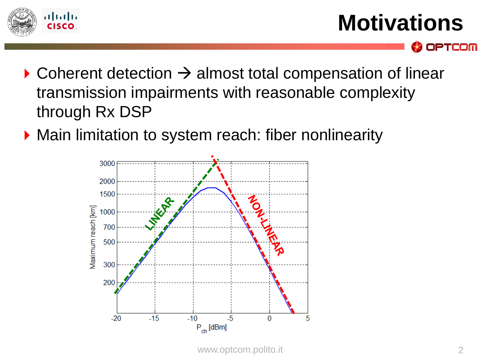

OPTCOM

- $\triangleright$  Coherent detection  $\rightarrow$  almost total compensation of linear transmission impairments with reasonable complexity through Rx DSP
- ▶ Main limitation to system reach: fiber nonlinearity

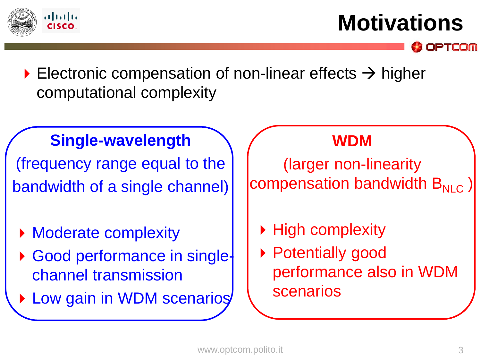

**Motivations**

PTCOM

Electronic compensation of non-linear effects  $\rightarrow$  higher computational complexity

#### **Single-wavelength**

(frequency range equal to the bandwidth of a single channel)

- Moderate complexity
- Good performance in singlechannel transmission
- ▶ Low gain in WDM scenarios

#### **WDM**

(larger non-linearity compensation bandwidth  $B_{NLC}$ 

- ▶ High complexity
- ▶ Potentially good performance also in WDM scenarios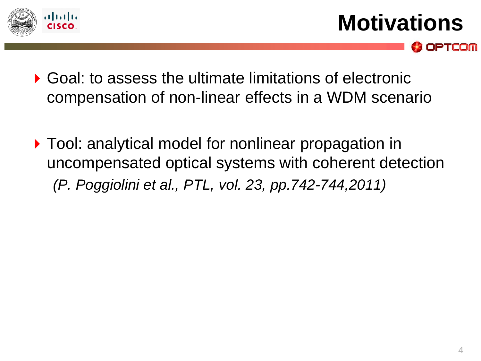

**Motivations**

OPTCOM

- ▶ Goal: to assess the ultimate limitations of electronic compensation of non-linear effects in a WDM scenario
- ▶ Tool: analytical model for nonlinear propagation in uncompensated optical systems with coherent detection *(P. Poggiolini et al., PTL, vol. 23, pp.742-744,2011)*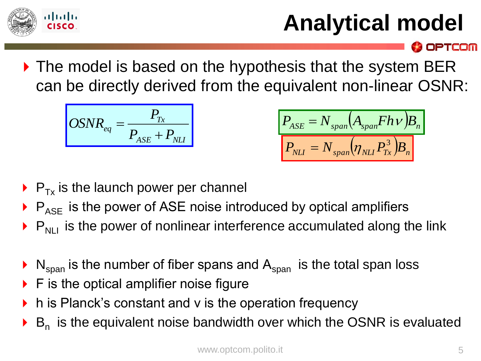

## **Analytical model**

**OPTCOM** 

▶ The model is based on the hypothesis that the system BER can be directly derived from the equivalent non-linear OSNR:

$$
OSNR_{eq} = \frac{P_{Tx}}{P_{ASE} + P_{NL}}
$$

$$
P_{ASE} = N_{span}(A_{span}Fh\nu)B_n
$$

$$
P_{NLI} = N_{span}(\eta_{NLI}P_{Tx}^3)B_n
$$

- $\triangleright$  P<sub>Tx</sub> is the launch power per channel
- $\triangleright$   $P_{ASE}$  is the power of ASE noise introduced by optical amplifiers
- $\triangleright$  P<sub>NLI</sub> is the power of nonlinear interference accumulated along the link
- $N_{\text{span}}$  is the number of fiber spans and  $A_{\text{span}}$  is the total span loss
- F is the optical amplifier noise figure
- h is Planck's constant and v is the operation frequency
- $\triangleright$  B<sub>n</sub> is the equivalent noise bandwidth over which the OSNR is evaluated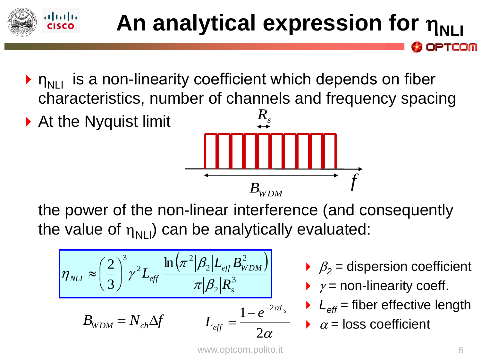#### atnatn **An analytical expression for**  $\eta_{\text{N1}}$ PTCOM

- $\triangleright$   $n_{\text{N}}$  is a non-linearity coefficient which depends on fiber characteristics, number of channels and frequency spacing
- ▶ At the Nyquist limit



the power of the non-linear interference (and consequently the value of  $\eta_{\text{NII}}$ ) can be analytically evaluated:

$$
\eta_{NL} \approx \left(\frac{2}{3}\right)^3 \gamma^2 L_{eff} \frac{\ln \left(\pi^2 |\beta_2| L_{eff} B_{WDM}^2\right)}{\pi |\beta_2| R_s^3}
$$

$$
B_{WDM} = N_{ch} \Delta f \qquad L_{eff} = \frac{1 - e^{-2\alpha L_s}}{2\alpha}
$$

- $\beta_2$  = dispersion coefficient
- $\rightarrow$   $\gamma$  = non-linearity coeff.
- $L_{\text{eff}}$  = fiber effective length
- $\alpha$  = loss coefficient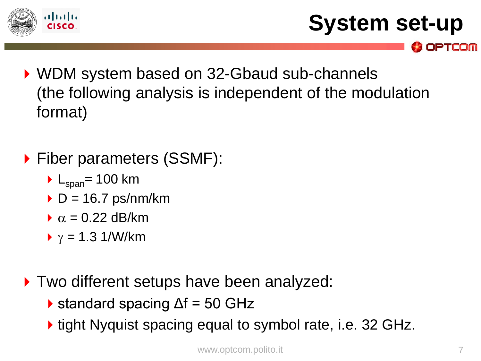

```
System set-up
```
**OPTCOM** 

- ▶ WDM system based on 32-Gbaud sub-channels (the following analysis is independent of the modulation format)
- ▶ Fiber parameters (SSMF):
	- $L_{\text{span}}$  = 100 km
	- $\triangleright$  D = 16.7 ps/nm/km
	- $\alpha$  = 0.22 dB/km
	- $\gamma$  = 1.3 1/W/km
- ▶ Two different setups have been analyzed:
	- $\triangleright$  standard spacing  $\Delta f = 50$  GHz
	- **tight Nyquist spacing equal to symbol rate, i.e. 32 GHz.**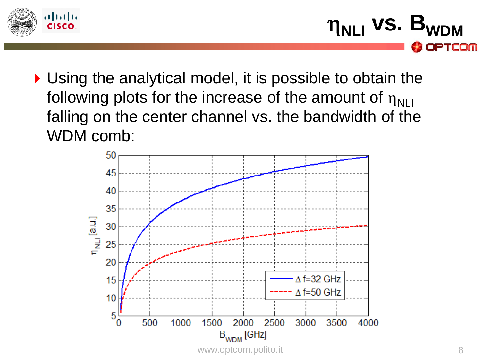

 $\eta_{\text{NLI}}$  vs.  $B_{\text{W}}$ **OPTCOM** 

Using the analytical model, it is possible to obtain the following plots for the increase of the amount of  $\eta_{\text{NLI}}$ falling on the center channel vs. the bandwidth of the WDM comb:

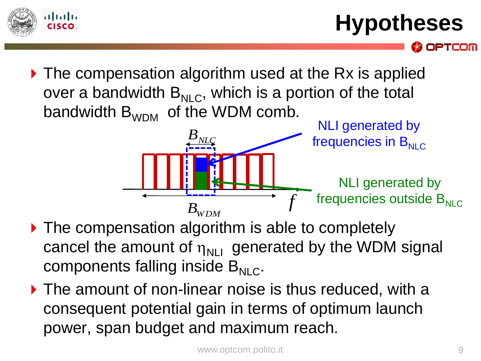

**Hypotheses**

PTCOM

▶ The compensation algorithm used at the Rx is applied over a bandwidth  $B_{NIC}$ , which is a portion of the total bandwidth  $B_{WDM}$  of the WDM comb.



- ▶ The compensation algorithm is able to completely cancel the amount of  $\eta_{\text{NIL}}$  generated by the WDM signal components falling inside  $B_{NIC}$ .
- ▶ The amount of non-linear noise is thus reduced, with a consequent potential gain in terms of optimum launch power, span budget and maximum reach.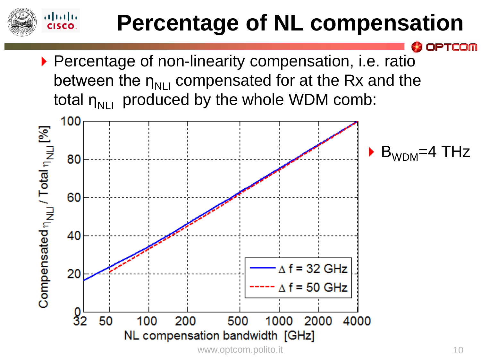### **Percentage of NL compensation**

▶ Percentage of non-linearity compensation, i.e. ratio between the  $\eta_{N11}$  compensated for at the Rx and the total  $\eta_{\text{NIL}}$  produced by the whole WDM comb:

 $\mathbf{d}$ **CISCO** 



PTCOM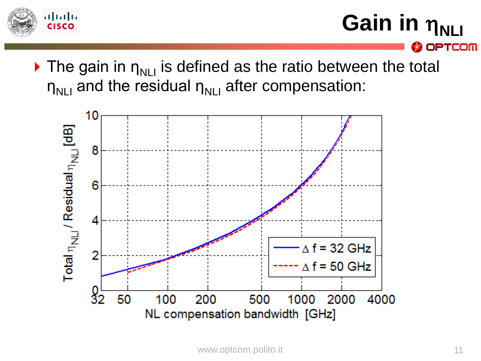

**Gain in**  $η_{NLI}$ **OPTCOM** 

 $\triangleright$  The gain in  $\eta_{N+1}$  is defined as the ratio between the total  $\eta_{\text{NIL}}$  and the residual  $\eta_{\text{NIL}}$  after compensation:

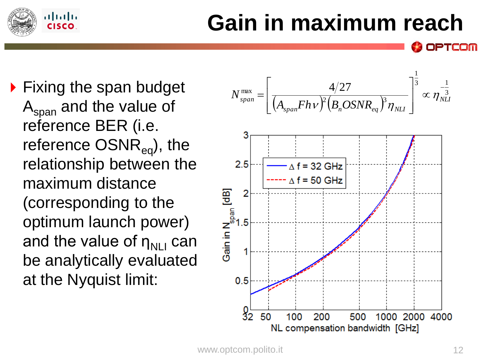

## **Gain in maximum reach**

▶ Fixing the span budget  $A<sub>span</sub>$  and the value of reference BER (i.e. reference  $OSNR_{eq}$ ), the relationship between the maximum distance (corresponding to the optimum launch power) and the value of  $\eta_{N+1}$  can be analytically evaluated at the Nyquist limit:



PTCOM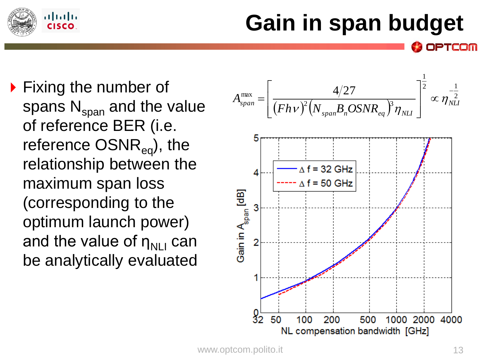

## **Gain in span budget**

**Fixing the number of** spans  $N_{span}$  and the value of reference BER (i.e. reference  $OSNR_{eq}$ ), the relationship between the maximum span loss (corresponding to the optimum launch power) and the value of  $\eta_{N+1}$  can be analytically evaluated

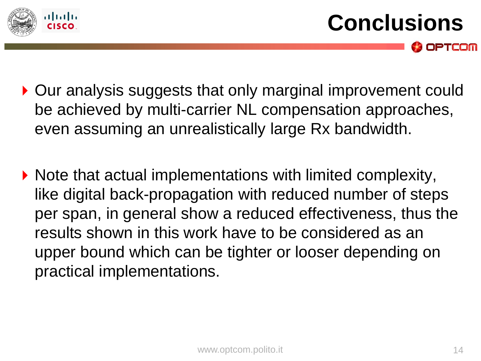

- ▶ Our analysis suggests that only marginal improvement could be achieved by multi-carrier NL compensation approaches, even assuming an unrealistically large Rx bandwidth.
- ▶ Note that actual implementations with limited complexity, like digital back-propagation with reduced number of steps per span, in general show a reduced effectiveness, thus the results shown in this work have to be considered as an upper bound which can be tighter or looser depending on practical implementations.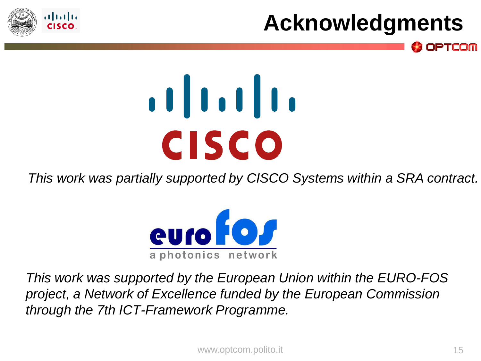

## **Acknowledgments**

**OPTCOM** 

# $\begin{array}{c} \begin{array}{c} \text{1} \\ \text{1} \\ \text{1} \\ \text{1} \end{array} \end{array}$ **CISCO**

*This work was partially supported by CISCO Systems within a SRA contract.*



*This work was supported by the European Union within the EURO-FOS project, a Network of Excellence funded by the European Commission through the 7th ICT-Framework Programme.*